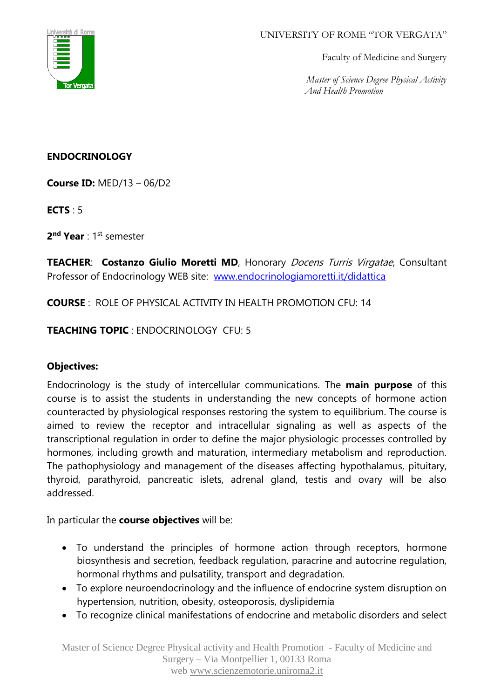

#### UNIVERSITY OF ROME "TOR VERGATA"

Faculty of Medicine and Surgery

 *Master of Science Degree Physical Activity And Health Promotion* 

## **ENDOCRINOLOGY**

**Course ID:** MED/13 – 06/D2

**ECTS** : 5

**2 nd Year** : 1st semester

**TEACHER**: **Costanzo Giulio Moretti MD**, Honorary Docens Turris Virgatae, Consultant Professor of Endocrinology WEB site: [www.endocrinologiamoretti.it/didattica](http://www.endocrinologiamoretti.it/didattica)

**COURSE** : ROLE OF PHYSICAL ACTIVITY IN HEALTH PROMOTION CFU: 14

## **TEACHING TOPIC** : ENDOCRINOLOGY CFU: 5

### **Objectives:**

Endocrinology is the study of intercellular communications. The **main purpose** of this course is to assist the students in understanding the new concepts of hormone action counteracted by physiological responses restoring the system to equilibrium. The course is aimed to review the receptor and intracellular signaling as well as aspects of the transcriptional regulation in order to define the major physiologic processes controlled by hormones, including growth and maturation, intermediary metabolism and reproduction. The pathophysiology and management of the diseases affecting hypothalamus, pituitary, thyroid, parathyroid, pancreatic islets, adrenal gland, testis and ovary will be also addressed.

In particular the **course objectives** will be:

- To understand the principles of hormone action through receptors, hormone biosynthesis and secretion, feedback regulation, paracrine and autocrine regulation, hormonal rhythms and pulsatility, transport and degradation.
- To explore neuroendocrinology and the influence of endocrine system disruption on hypertension, nutrition, obesity, osteoporosis, dyslipidemia
- To recognize clinical manifestations of endocrine and metabolic disorders and select

Master of Science Degree Physical activity and Health Promotion - Faculty of Medicine and Surgery – Via Montpellier 1, 00133 Roma web [www.scienzemotorie.uniroma2.it](http://www.scienzemotorie.uniroma2.it/)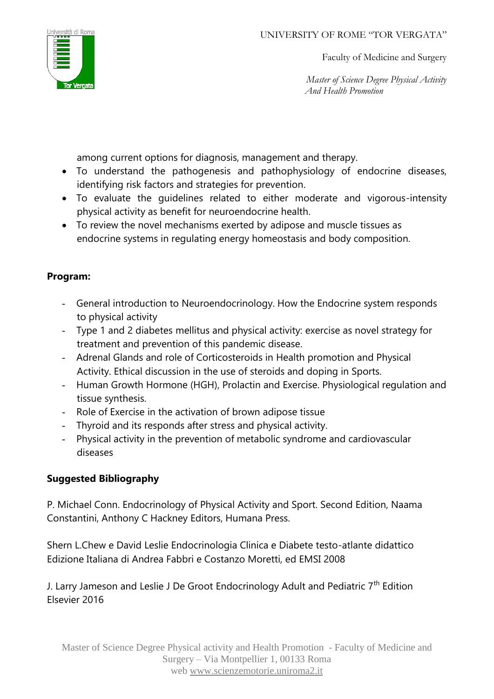

Faculty of Medicine and Surgery

 *Master of Science Degree Physical Activity And Health Promotion* 

among current options for diagnosis, management and therapy.

- To understand the pathogenesis and pathophysiology of endocrine diseases, identifying risk factors and strategies for prevention.
- To evaluate the guidelines related to either moderate and vigorous-intensity physical activity as benefit for neuroendocrine health.
- To review the novel mechanisms exerted by adipose and muscle tissues as endocrine systems in regulating energy homeostasis and body composition.

## **Program:**

- General introduction to Neuroendocrinology. How the Endocrine system responds to physical activity
- Type 1 and 2 diabetes mellitus and physical activity: exercise as novel strategy for treatment and prevention of this pandemic disease.
- Adrenal Glands and role of Corticosteroids in Health promotion and Physical Activity. Ethical discussion in the use of steroids and doping in Sports.
- Human Growth Hormone (HGH), Prolactin and Exercise. Physiological regulation and tissue synthesis.
- Role of Exercise in the activation of brown adipose tissue
- Thyroid and its responds after stress and physical activity.
- Physical activity in the prevention of metabolic syndrome and cardiovascular diseases

# **Suggested Bibliography**

P. Michael Conn. Endocrinology of Physical Activity and Sport. Second Edition, Naama Constantini, Anthony C Hackney Editors, Humana Press.

Shern L.Chew e David Leslie Endocrinologia Clinica e Diabete testo-atlante didattico Edizione Italiana di Andrea Fabbri e Costanzo Moretti, ed EMSI 2008

J. Larry Jameson and Leslie J De Groot Endocrinology Adult and Pediatric 7<sup>th</sup> Edition Elsevier 2016